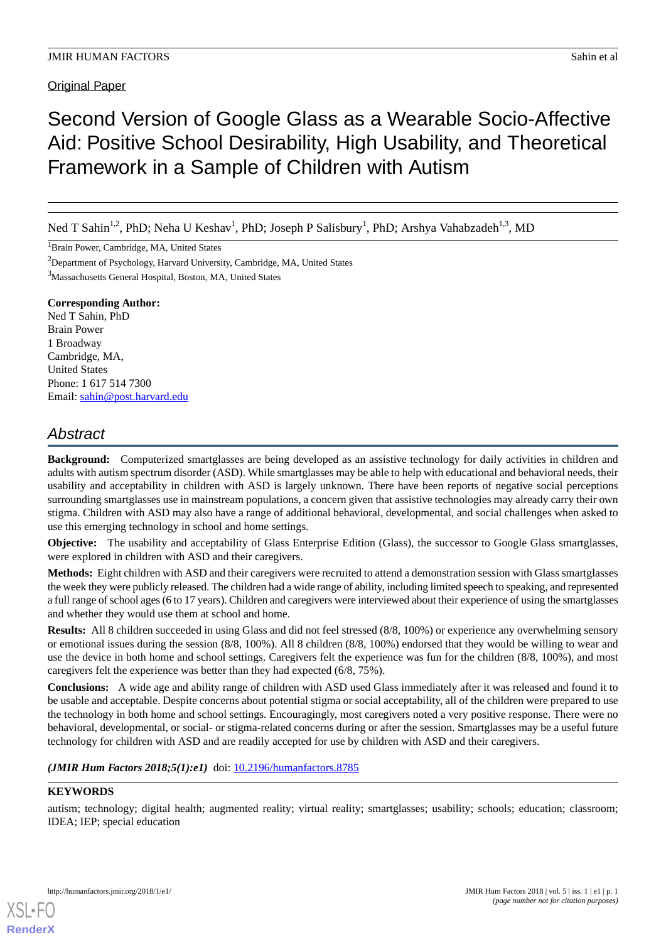**Original Paper** 

# Second Version of Google Glass as a Wearable Socio-Affective Aid: Positive School Desirability, High Usability, and Theoretical Framework in a Sample of Children with Autism

Ned T Sahin<sup>1,2</sup>, PhD; Neha U Keshav<sup>1</sup>, PhD; Joseph P Salisbury<sup>1</sup>, PhD; Arshya Vahabzadeh<sup>1,3</sup>, MD

<sup>1</sup>Brain Power, Cambridge, MA, United States

<sup>2</sup>Department of Psychology, Harvard University, Cambridge, MA, United States

<sup>3</sup>Massachusetts General Hospital, Boston, MA, United States

## **Corresponding Author:**

Ned T Sahin, PhD Brain Power 1 Broadway Cambridge, MA, United States Phone: 1 617 514 7300 Email: [sahin@post.harvard.edu](mailto:sahin@post.harvard.edu)

# *Abstract*

**Background:** Computerized smartglasses are being developed as an assistive technology for daily activities in children and adults with autism spectrum disorder (ASD). While smartglasses may be able to help with educational and behavioral needs, their usability and acceptability in children with ASD is largely unknown. There have been reports of negative social perceptions surrounding smartglasses use in mainstream populations, a concern given that assistive technologies may already carry their own stigma. Children with ASD may also have a range of additional behavioral, developmental, and social challenges when asked to use this emerging technology in school and home settings.

**Objective:** The usability and acceptability of Glass Enterprise Edition (Glass), the successor to Google Glass smartglasses, were explored in children with ASD and their caregivers.

**Methods:** Eight children with ASD and their caregivers were recruited to attend a demonstration session with Glass smartglasses the week they were publicly released. The children had a wide range of ability, including limited speech to speaking, and represented a full range of school ages (6 to 17 years). Children and caregivers were interviewed about their experience of using the smartglasses and whether they would use them at school and home.

**Results:** All 8 children succeeded in using Glass and did not feel stressed (8/8, 100%) or experience any overwhelming sensory or emotional issues during the session (8/8, 100%). All 8 children (8/8, 100%) endorsed that they would be willing to wear and use the device in both home and school settings. Caregivers felt the experience was fun for the children (8/8, 100%), and most caregivers felt the experience was better than they had expected (6/8, 75%).

**Conclusions:** A wide age and ability range of children with ASD used Glass immediately after it was released and found it to be usable and acceptable. Despite concerns about potential stigma or social acceptability, all of the children were prepared to use the technology in both home and school settings. Encouragingly, most caregivers noted a very positive response. There were no behavioral, developmental, or social- or stigma-related concerns during or after the session. Smartglasses may be a useful future technology for children with ASD and are readily accepted for use by children with ASD and their caregivers.

(JMIR Hum Factors 2018;5(1):e1) doi: [10.2196/humanfactors.8785](http://dx.doi.org/10.2196/humanfactors.8785)

## **KEYWORDS**

autism; technology; digital health; augmented reality; virtual reality; smartglasses; usability; schools; education; classroom; IDEA; IEP; special education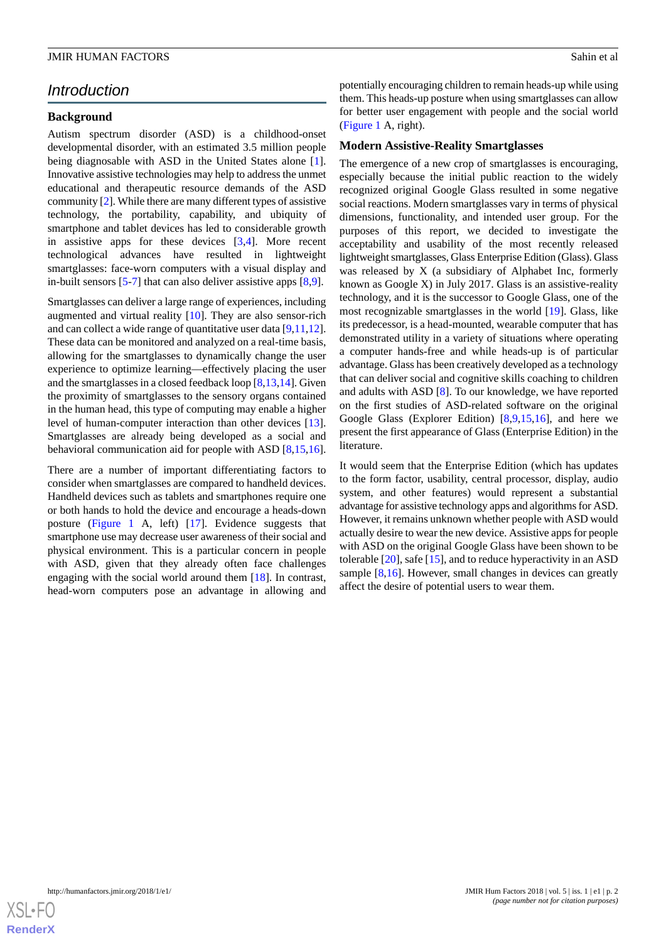# *Introduction*

#### **Background**

Autism spectrum disorder (ASD) is a childhood-onset developmental disorder, with an estimated 3.5 million people being diagnosable with ASD in the United States alone [[1\]](#page-8-0). Innovative assistive technologies may help to address the unmet educational and therapeutic resource demands of the ASD community [[2\]](#page-8-1). While there are many different types of assistive technology, the portability, capability, and ubiquity of smartphone and tablet devices has led to considerable growth in assistive apps for these devices [\[3](#page-8-2),[4\]](#page-8-3). More recent technological advances have resulted in lightweight smartglasses: face-worn computers with a visual display and in-built sensors [[5](#page-8-4)-[7\]](#page-8-5) that can also deliver assistive apps [\[8](#page-8-6),[9\]](#page-8-7).

Smartglasses can deliver a large range of experiences, including augmented and virtual reality [\[10](#page-8-8)]. They are also sensor-rich and can collect a wide range of quantitative user data [[9](#page-8-7)[,11](#page-8-9),[12\]](#page-9-0). These data can be monitored and analyzed on a real-time basis, allowing for the smartglasses to dynamically change the user experience to optimize learning—effectively placing the user and the smartglasses in a closed feedback loop [[8](#page-8-6)[,13](#page-9-1),[14\]](#page-9-2). Given the proximity of smartglasses to the sensory organs contained in the human head, this type of computing may enable a higher level of human-computer interaction than other devices [[13\]](#page-9-1). Smartglasses are already being developed as a social and behavioral communication aid for people with ASD [[8](#page-8-6)[,15](#page-9-3),[16\]](#page-9-4).

There are a number of important differentiating factors to consider when smartglasses are compared to handheld devices. Handheld devices such as tablets and smartphones require one or both hands to hold the device and encourage a heads-down posture ([Figure 1](#page-2-0) A, left) [[17\]](#page-9-5). Evidence suggests that smartphone use may decrease user awareness of their social and physical environment. This is a particular concern in people with ASD, given that they already often face challenges engaging with the social world around them [\[18](#page-9-6)]. In contrast, head-worn computers pose an advantage in allowing and

potentially encouraging children to remain heads-up while using them. This heads-up posture when using smartglasses can allow for better user engagement with people and the social world ([Figure 1](#page-2-0) A, right).

#### **Modern Assistive-Reality Smartglasses**

The emergence of a new crop of smartglasses is encouraging, especially because the initial public reaction to the widely recognized original Google Glass resulted in some negative social reactions. Modern smartglasses vary in terms of physical dimensions, functionality, and intended user group. For the purposes of this report, we decided to investigate the acceptability and usability of the most recently released lightweight smartglasses, Glass Enterprise Edition (Glass). Glass was released by X (a subsidiary of Alphabet Inc, formerly known as Google X) in July 2017. Glass is an assistive-reality technology, and it is the successor to Google Glass, one of the most recognizable smartglasses in the world [[19\]](#page-9-7). Glass, like its predecessor, is a head-mounted, wearable computer that has demonstrated utility in a variety of situations where operating a computer hands-free and while heads-up is of particular advantage. Glass has been creatively developed as a technology that can deliver social and cognitive skills coaching to children and adults with ASD [\[8](#page-8-6)]. To our knowledge, we have reported on the first studies of ASD-related software on the original Google Glass (Explorer Edition) [\[8,](#page-8-6)[9](#page-8-7),[15,](#page-9-3)[16](#page-9-4)], and here we present the first appearance of Glass (Enterprise Edition) in the literature.

It would seem that the Enterprise Edition (which has updates to the form factor, usability, central processor, display, audio system, and other features) would represent a substantial advantage for assistive technology apps and algorithms for ASD. However, it remains unknown whether people with ASD would actually desire to wear the new device. Assistive apps for people with ASD on the original Google Glass have been shown to be tolerable [\[20](#page-9-8)], safe [[15\]](#page-9-3), and to reduce hyperactivity in an ASD sample [\[8](#page-8-6),[16\]](#page-9-4). However, small changes in devices can greatly affect the desire of potential users to wear them.

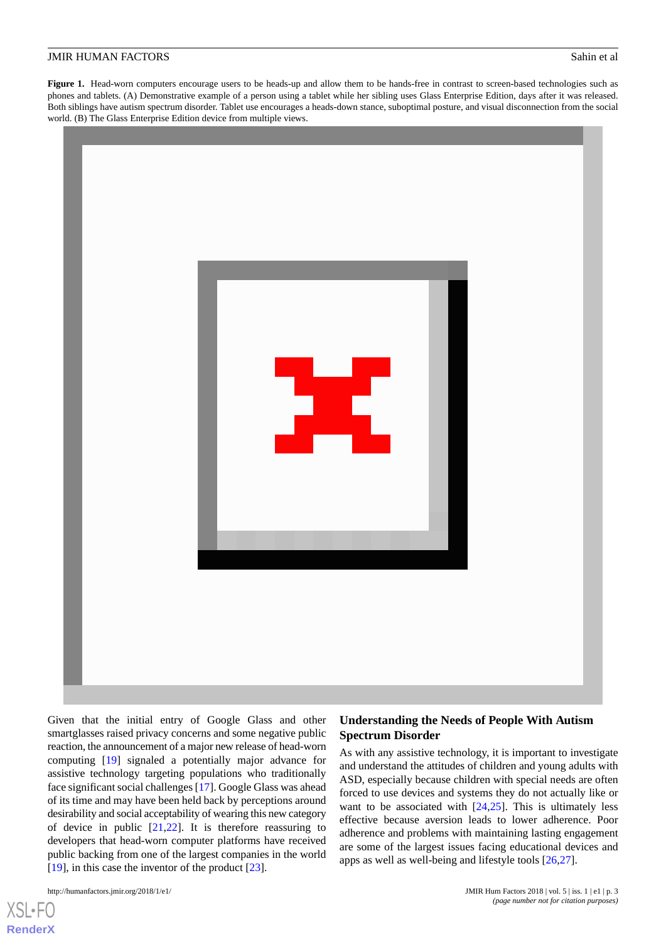<span id="page-2-0"></span>Figure 1. Head-worn computers encourage users to be heads-up and allow them to be hands-free in contrast to screen-based technologies such as phones and tablets. (A) Demonstrative example of a person using a tablet while her sibling uses Glass Enterprise Edition, days after it was released. Both siblings have autism spectrum disorder. Tablet use encourages a heads-down stance, suboptimal posture, and visual disconnection from the social world. (B) The Glass Enterprise Edition device from multiple views.



Given that the initial entry of Google Glass and other smartglasses raised privacy concerns and some negative public reaction, the announcement of a major new release of head-worn computing [[19\]](#page-9-7) signaled a potentially major advance for assistive technology targeting populations who traditionally face significant social challenges [[17\]](#page-9-5). Google Glass was ahead of its time and may have been held back by perceptions around desirability and social acceptability of wearing this new category of device in public [\[21](#page-9-9),[22\]](#page-9-10). It is therefore reassuring to developers that head-worn computer platforms have received public backing from one of the largest companies in the world [[19\]](#page-9-7), in this case the inventor of the product [\[23](#page-9-11)].

```
http://humanfactors.jmir.org/2018/1/e1/ JMIR Hum Factors 2018 | vol. 5 | iss. 1 | e1 | p. 3
```
 $XS$  • FC **[RenderX](http://www.renderx.com/)**

## **Understanding the Needs of People With Autism Spectrum Disorder**

As with any assistive technology, it is important to investigate and understand the attitudes of children and young adults with ASD, especially because children with special needs are often forced to use devices and systems they do not actually like or want to be associated with  $[24,25]$  $[24,25]$  $[24,25]$  $[24,25]$ . This is ultimately less effective because aversion leads to lower adherence. Poor adherence and problems with maintaining lasting engagement are some of the largest issues facing educational devices and apps as well as well-being and lifestyle tools [\[26](#page-9-14),[27\]](#page-9-15).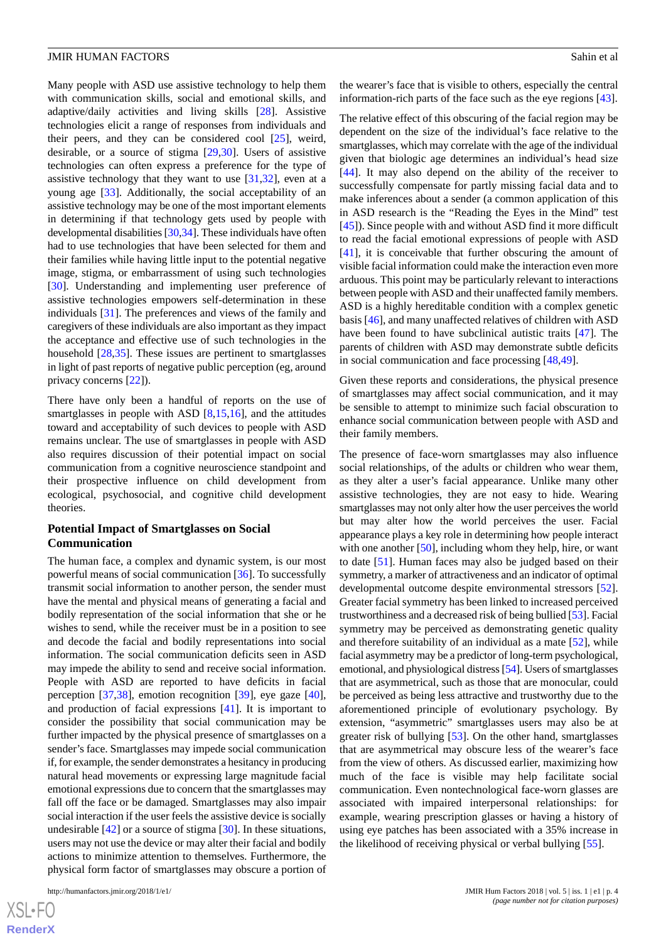Many people with ASD use assistive technology to help them with communication skills, social and emotional skills, and adaptive/daily activities and living skills [\[28](#page-9-16)]. Assistive technologies elicit a range of responses from individuals and their peers, and they can be considered cool [\[25](#page-9-13)], weird, desirable, or a source of stigma [\[29](#page-9-17),[30\]](#page-9-18). Users of assistive technologies can often express a preference for the type of assistive technology that they want to use [\[31](#page-9-19),[32\]](#page-9-20), even at a young age [\[33](#page-9-21)]. Additionally, the social acceptability of an assistive technology may be one of the most important elements in determining if that technology gets used by people with developmental disabilities [\[30](#page-9-18)[,34](#page-9-22)]. These individuals have often had to use technologies that have been selected for them and their families while having little input to the potential negative image, stigma, or embarrassment of using such technologies [[30\]](#page-9-18). Understanding and implementing user preference of assistive technologies empowers self-determination in these individuals [[31\]](#page-9-19). The preferences and views of the family and caregivers of these individuals are also important as they impact the acceptance and effective use of such technologies in the household [\[28](#page-9-16),[35\]](#page-9-23). These issues are pertinent to smartglasses in light of past reports of negative public perception (eg, around privacy concerns [[22\]](#page-9-10)).

There have only been a handful of reports on the use of smartglasses in people with ASD [\[8](#page-8-6),[15](#page-9-3)[,16](#page-9-4)], and the attitudes toward and acceptability of such devices to people with ASD remains unclear. The use of smartglasses in people with ASD also requires discussion of their potential impact on social communication from a cognitive neuroscience standpoint and their prospective influence on child development from ecological, psychosocial, and cognitive child development theories.

#### **Potential Impact of Smartglasses on Social Communication**

The human face, a complex and dynamic system, is our most powerful means of social communication [\[36](#page-9-24)]. To successfully transmit social information to another person, the sender must have the mental and physical means of generating a facial and bodily representation of the social information that she or he wishes to send, while the receiver must be in a position to see and decode the facial and bodily representations into social information. The social communication deficits seen in ASD may impede the ability to send and receive social information. People with ASD are reported to have deficits in facial perception [[37](#page-9-25)[,38](#page-10-0)], emotion recognition [\[39](#page-10-1)], eye gaze [[40\]](#page-10-2), and production of facial expressions [\[41](#page-10-3)]. It is important to consider the possibility that social communication may be further impacted by the physical presence of smartglasses on a sender's face. Smartglasses may impede social communication if, for example, the sender demonstrates a hesitancy in producing natural head movements or expressing large magnitude facial emotional expressions due to concern that the smartglasses may fall off the face or be damaged. Smartglasses may also impair social interaction if the user feels the assistive device is socially undesirable [\[42](#page-10-4)] or a source of stigma [\[30](#page-9-18)]. In these situations, users may not use the device or may alter their facial and bodily actions to minimize attention to themselves. Furthermore, the physical form factor of smartglasses may obscure a portion of

http://humanfactors.jmir.org/2018/1/e1/ JMIR Hum Factors 2018 | vol. 5 | iss. 1 | e1 | p. 4

[XSL](http://www.w3.org/Style/XSL)•FO **[RenderX](http://www.renderx.com/)** the wearer's face that is visible to others, especially the central information-rich parts of the face such as the eye regions [\[43](#page-10-5)].

The relative effect of this obscuring of the facial region may be dependent on the size of the individual's face relative to the smartglasses, which may correlate with the age of the individual given that biologic age determines an individual's head size [[44\]](#page-10-6). It may also depend on the ability of the receiver to successfully compensate for partly missing facial data and to make inferences about a sender (a common application of this in ASD research is the "Reading the Eyes in the Mind" test [[45\]](#page-10-7)). Since people with and without ASD find it more difficult to read the facial emotional expressions of people with ASD [[41\]](#page-10-3), it is conceivable that further obscuring the amount of visible facial information could make the interaction even more arduous. This point may be particularly relevant to interactions between people with ASD and their unaffected family members. ASD is a highly hereditable condition with a complex genetic basis [\[46](#page-10-8)], and many unaffected relatives of children with ASD have been found to have subclinical autistic traits [[47\]](#page-10-9). The parents of children with ASD may demonstrate subtle deficits in social communication and face processing [\[48](#page-10-10),[49\]](#page-10-11).

Given these reports and considerations, the physical presence of smartglasses may affect social communication, and it may be sensible to attempt to minimize such facial obscuration to enhance social communication between people with ASD and their family members.

The presence of face-worn smartglasses may also influence social relationships, of the adults or children who wear them, as they alter a user's facial appearance. Unlike many other assistive technologies, they are not easy to hide. Wearing smartglasses may not only alter how the user perceives the world but may alter how the world perceives the user. Facial appearance plays a key role in determining how people interact with one another [[50\]](#page-10-12), including whom they help, hire, or want to date [[51\]](#page-10-13). Human faces may also be judged based on their symmetry, a marker of attractiveness and an indicator of optimal developmental outcome despite environmental stressors [[52\]](#page-10-14). Greater facial symmetry has been linked to increased perceived trustworthiness and a decreased risk of being bullied [\[53](#page-10-15)]. Facial symmetry may be perceived as demonstrating genetic quality and therefore suitability of an individual as a mate [\[52](#page-10-14)], while facial asymmetry may be a predictor of long-term psychological, emotional, and physiological distress [[54\]](#page-10-16). Users of smartglasses that are asymmetrical, such as those that are monocular, could be perceived as being less attractive and trustworthy due to the aforementioned principle of evolutionary psychology. By extension, "asymmetric" smartglasses users may also be at greater risk of bullying [[53\]](#page-10-15). On the other hand, smartglasses that are asymmetrical may obscure less of the wearer's face from the view of others. As discussed earlier, maximizing how much of the face is visible may help facilitate social communication. Even nontechnological face-worn glasses are associated with impaired interpersonal relationships: for example, wearing prescription glasses or having a history of using eye patches has been associated with a 35% increase in the likelihood of receiving physical or verbal bullying [\[55](#page-10-17)].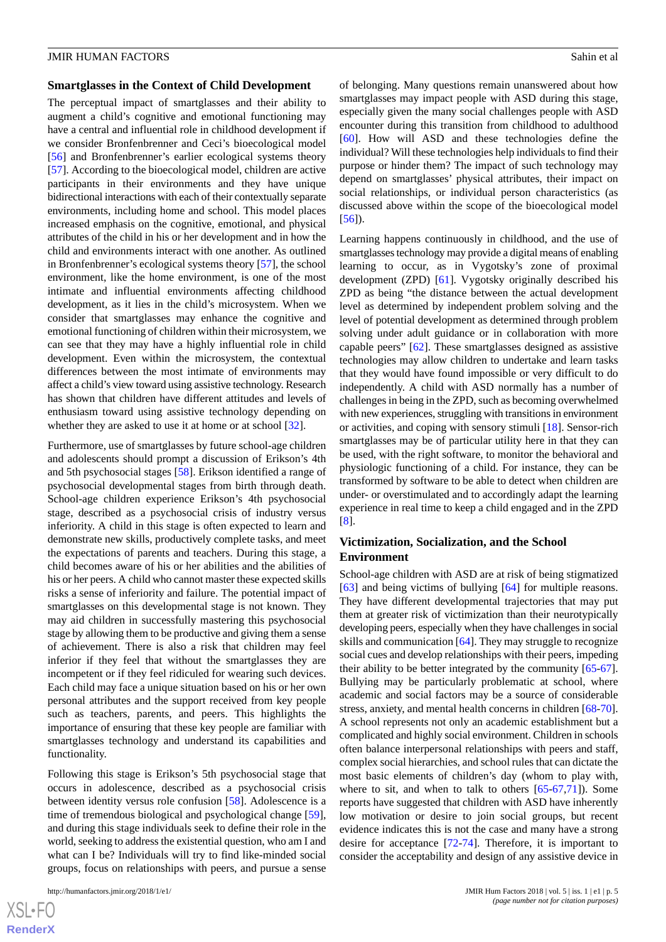#### **Smartglasses in the Context of Child Development**

The perceptual impact of smartglasses and their ability to augment a child's cognitive and emotional functioning may have a central and influential role in childhood development if we consider Bronfenbrenner and Ceci's bioecological model [[56\]](#page-10-18) and Bronfenbrenner's earlier ecological systems theory [[57\]](#page-10-19). According to the bioecological model, children are active participants in their environments and they have unique bidirectional interactions with each of their contextually separate environments, including home and school. This model places increased emphasis on the cognitive, emotional, and physical attributes of the child in his or her development and in how the child and environments interact with one another. As outlined in Bronfenbrenner's ecological systems theory [\[57](#page-10-19)], the school environment, like the home environment, is one of the most intimate and influential environments affecting childhood development, as it lies in the child's microsystem. When we consider that smartglasses may enhance the cognitive and emotional functioning of children within their microsystem, we can see that they may have a highly influential role in child development. Even within the microsystem, the contextual differences between the most intimate of environments may affect a child's view toward using assistive technology. Research has shown that children have different attitudes and levels of enthusiasm toward using assistive technology depending on whether they are asked to use it at home or at school [[32\]](#page-9-20).

Furthermore, use of smartglasses by future school-age children and adolescents should prompt a discussion of Erikson's 4th and 5th psychosocial stages [\[58](#page-10-20)]. Erikson identified a range of psychosocial developmental stages from birth through death. School-age children experience Erikson's 4th psychosocial stage, described as a psychosocial crisis of industry versus inferiority. A child in this stage is often expected to learn and demonstrate new skills, productively complete tasks, and meet the expectations of parents and teachers. During this stage, a child becomes aware of his or her abilities and the abilities of his or her peers. A child who cannot master these expected skills risks a sense of inferiority and failure. The potential impact of smartglasses on this developmental stage is not known. They may aid children in successfully mastering this psychosocial stage by allowing them to be productive and giving them a sense of achievement. There is also a risk that children may feel inferior if they feel that without the smartglasses they are incompetent or if they feel ridiculed for wearing such devices. Each child may face a unique situation based on his or her own personal attributes and the support received from key people such as teachers, parents, and peers. This highlights the importance of ensuring that these key people are familiar with smartglasses technology and understand its capabilities and functionality.

Following this stage is Erikson's 5th psychosocial stage that occurs in adolescence, described as a psychosocial crisis between identity versus role confusion [[58\]](#page-10-20). Adolescence is a time of tremendous biological and psychological change [[59\]](#page-10-21), and during this stage individuals seek to define their role in the world, seeking to address the existential question, who am I and what can I be? Individuals will try to find like-minded social groups, focus on relationships with peers, and pursue a sense

of belonging. Many questions remain unanswered about how smartglasses may impact people with ASD during this stage, especially given the many social challenges people with ASD encounter during this transition from childhood to adulthood [[60\]](#page-10-22). How will ASD and these technologies define the individual? Will these technologies help individuals to find their purpose or hinder them? The impact of such technology may depend on smartglasses' physical attributes, their impact on social relationships, or individual person characteristics (as discussed above within the scope of the bioecological model [[56\]](#page-10-18)).

Learning happens continuously in childhood, and the use of smartglasses technology may provide a digital means of enabling learning to occur, as in Vygotsky's zone of proximal development (ZPD) [\[61](#page-10-23)]. Vygotsky originally described his ZPD as being "the distance between the actual development level as determined by independent problem solving and the level of potential development as determined through problem solving under adult guidance or in collaboration with more capable peers" [\[62](#page-10-24)]. These smartglasses designed as assistive technologies may allow children to undertake and learn tasks that they would have found impossible or very difficult to do independently. A child with ASD normally has a number of challenges in being in the ZPD, such as becoming overwhelmed with new experiences, struggling with transitions in environment or activities, and coping with sensory stimuli [[18\]](#page-9-6). Sensor-rich smartglasses may be of particular utility here in that they can be used, with the right software, to monitor the behavioral and physiologic functioning of a child. For instance, they can be transformed by software to be able to detect when children are under- or overstimulated and to accordingly adapt the learning experience in real time to keep a child engaged and in the ZPD [[8\]](#page-8-6).

## **Victimization, Socialization, and the School Environment**

School-age children with ASD are at risk of being stigmatized [[63\]](#page-10-25) and being victims of bullying [[64\]](#page-10-26) for multiple reasons. They have different developmental trajectories that may put them at greater risk of victimization than their neurotypically developing peers, especially when they have challenges in social skills and communication [[64\]](#page-10-26). They may struggle to recognize social cues and develop relationships with their peers, impeding their ability to be better integrated by the community [[65-](#page-10-27)[67\]](#page-11-0). Bullying may be particularly problematic at school, where academic and social factors may be a source of considerable stress, anxiety, and mental health concerns in children [[68-](#page-11-1)[70\]](#page-11-2). A school represents not only an academic establishment but a complicated and highly social environment. Children in schools often balance interpersonal relationships with peers and staff, complex social hierarchies, and school rules that can dictate the most basic elements of children's day (whom to play with, where to sit, and when to talk to others [[65-](#page-10-27)[67](#page-11-0)[,71](#page-11-3)]). Some reports have suggested that children with ASD have inherently low motivation or desire to join social groups, but recent evidence indicates this is not the case and many have a strong desire for acceptance [\[72](#page-11-4)[-74](#page-11-5)]. Therefore, it is important to consider the acceptability and design of any assistive device in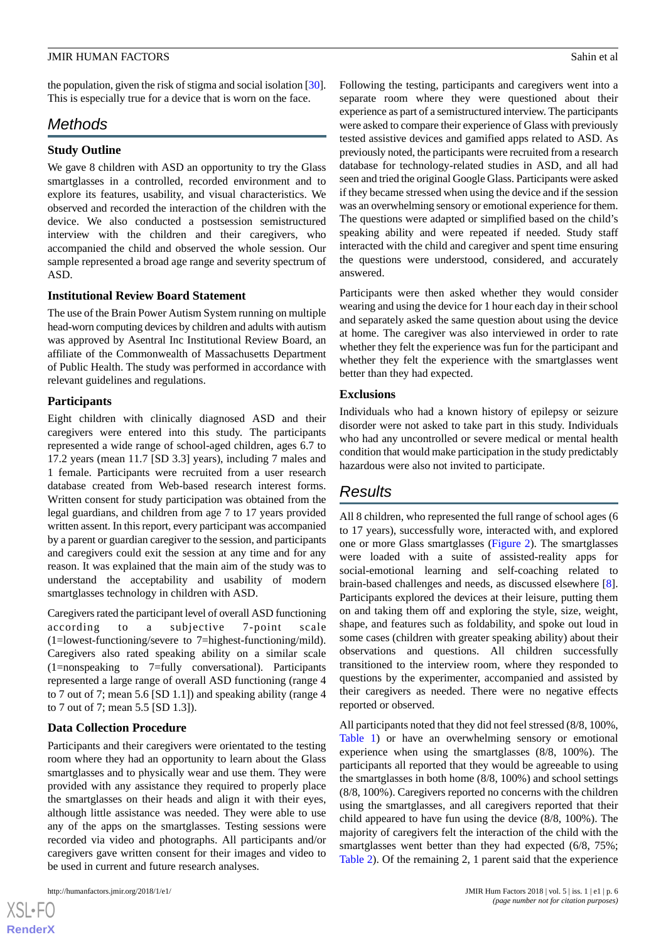the population, given the risk of stigma and social isolation [\[30\]](#page-9-18). This is especially true for a device that is worn on the face.

## *Methods*

## **Study Outline**

We gave 8 children with ASD an opportunity to try the Glass smartglasses in a controlled, recorded environment and to explore its features, usability, and visual characteristics. We observed and recorded the interaction of the children with the device. We also conducted a postsession semistructured interview with the children and their caregivers, who accompanied the child and observed the whole session. Our sample represented a broad age range and severity spectrum of ASD.

## **Institutional Review Board Statement**

The use of the Brain Power Autism System running on multiple head-worn computing devices by children and adults with autism was approved by Asentral Inc Institutional Review Board, an affiliate of the Commonwealth of Massachusetts Department of Public Health. The study was performed in accordance with relevant guidelines and regulations.

## **Participants**

Eight children with clinically diagnosed ASD and their caregivers were entered into this study. The participants represented a wide range of school-aged children, ages 6.7 to 17.2 years (mean 11.7 [SD 3.3] years), including 7 males and 1 female. Participants were recruited from a user research database created from Web-based research interest forms. Written consent for study participation was obtained from the legal guardians, and children from age 7 to 17 years provided written assent. In this report, every participant was accompanied by a parent or guardian caregiver to the session, and participants and caregivers could exit the session at any time and for any reason. It was explained that the main aim of the study was to understand the acceptability and usability of modern smartglasses technology in children with ASD.

Caregivers rated the participant level of overall ASD functioning according to a subjective 7-point scale (1=lowest-functioning/severe to 7=highest-functioning/mild). Caregivers also rated speaking ability on a similar scale (1=nonspeaking to 7=fully conversational). Participants represented a large range of overall ASD functioning (range 4 to 7 out of 7; mean 5.6 [SD 1.1]) and speaking ability (range 4 to 7 out of 7; mean 5.5 [SD 1.3]).

## **Data Collection Procedure**

Participants and their caregivers were orientated to the testing room where they had an opportunity to learn about the Glass smartglasses and to physically wear and use them. They were provided with any assistance they required to properly place the smartglasses on their heads and align it with their eyes, although little assistance was needed. They were able to use any of the apps on the smartglasses. Testing sessions were recorded via video and photographs. All participants and/or caregivers gave written consent for their images and video to be used in current and future research analyses.

 $XSI - F($ **[RenderX](http://www.renderx.com/)** Following the testing, participants and caregivers went into a separate room where they were questioned about their experience as part of a semistructured interview. The participants were asked to compare their experience of Glass with previously tested assistive devices and gamified apps related to ASD. As previously noted, the participants were recruited from a research database for technology-related studies in ASD, and all had seen and tried the original Google Glass. Participants were asked if they became stressed when using the device and if the session was an overwhelming sensory or emotional experience for them. The questions were adapted or simplified based on the child's speaking ability and were repeated if needed. Study staff interacted with the child and caregiver and spent time ensuring the questions were understood, considered, and accurately answered.

Participants were then asked whether they would consider wearing and using the device for 1 hour each day in their school and separately asked the same question about using the device at home. The caregiver was also interviewed in order to rate whether they felt the experience was fun for the participant and whether they felt the experience with the smartglasses went better than they had expected.

## **Exclusions**

Individuals who had a known history of epilepsy or seizure disorder were not asked to take part in this study. Individuals who had any uncontrolled or severe medical or mental health condition that would make participation in the study predictably hazardous were also not invited to participate.

# *Results*

All 8 children, who represented the full range of school ages (6 to 17 years), successfully wore, interacted with, and explored one or more Glass smartglasses ([Figure 2](#page-6-0)). The smartglasses were loaded with a suite of assisted-reality apps for social-emotional learning and self-coaching related to brain-based challenges and needs, as discussed elsewhere [[8\]](#page-8-6). Participants explored the devices at their leisure, putting them on and taking them off and exploring the style, size, weight, shape, and features such as foldability, and spoke out loud in some cases (children with greater speaking ability) about their observations and questions. All children successfully transitioned to the interview room, where they responded to questions by the experimenter, accompanied and assisted by their caregivers as needed. There were no negative effects reported or observed.

All participants noted that they did not feel stressed (8/8, 100%, [Table 1](#page-7-0)) or have an overwhelming sensory or emotional experience when using the smartglasses (8/8, 100%). The participants all reported that they would be agreeable to using the smartglasses in both home (8/8, 100%) and school settings (8/8, 100%). Caregivers reported no concerns with the children using the smartglasses, and all caregivers reported that their child appeared to have fun using the device (8/8, 100%). The majority of caregivers felt the interaction of the child with the smartglasses went better than they had expected  $(6/8, 75\%;$ [Table 2](#page-7-1)). Of the remaining 2, 1 parent said that the experience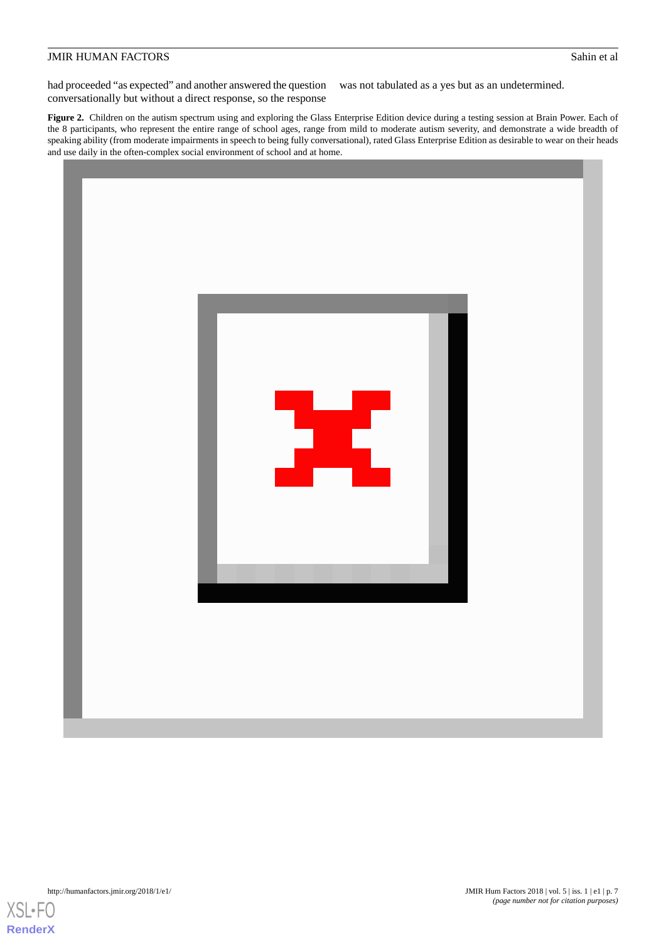had proceeded "as expected" and another answered the question conversationally but without a direct response, so the response was not tabulated as a yes but as an undetermined.

<span id="page-6-0"></span>Figure 2. Children on the autism spectrum using and exploring the Glass Enterprise Edition device during a testing session at Brain Power. Each of the 8 participants, who represent the entire range of school ages, range from mild to moderate autism severity, and demonstrate a wide breadth of speaking ability (from moderate impairments in speech to being fully conversational), rated Glass Enterprise Edition as desirable to wear on their heads and use daily in the often-complex social environment of school and at home.



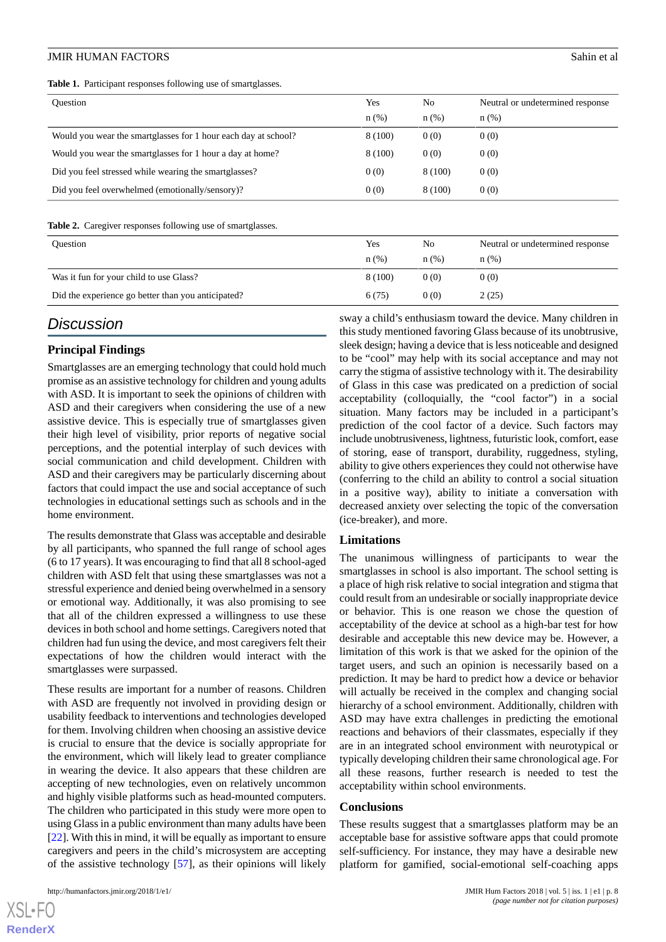<span id="page-7-0"></span>**Table 1.** Participant responses following use of smartglasses.

| Ouestion                                                       | Yes<br>$n(\%)$ | N <sub>0</sub><br>$n(\%)$ | Neutral or undetermined response<br>n(%) |
|----------------------------------------------------------------|----------------|---------------------------|------------------------------------------|
| Would you wear the smartglasses for 1 hour each day at school? | 8 (100)        | 0(0)                      | 0(0)                                     |
| Would you wear the smartglasses for 1 hour a day at home?      | 8 (100)        | 0(0)                      | 0(0)                                     |
| Did you feel stressed while wearing the smartglasses?          | 0(0)           | 8 (100)                   | 0(0)                                     |
| Did you feel overwhelmed (emotionally/sensory)?                | 0(0)           | 8 (100)                   | 0(0)                                     |

<span id="page-7-1"></span>Table 2. Caregiver responses following use of smartglasses.

| <b>Ouestion</b>                                    | Yes<br>$n$ (%) | N <sub>0</sub><br>n(%) | Neutral or undetermined response<br>n(%) |
|----------------------------------------------------|----------------|------------------------|------------------------------------------|
| Was it fun for your child to use Glass?            | 8 (100)        | 0(0)                   | 0(0)                                     |
| Did the experience go better than you anticipated? | 6(75)          | 0(0)                   | 2(25)                                    |

## *Discussion*

#### **Principal Findings**

Smartglasses are an emerging technology that could hold much promise as an assistive technology for children and young adults with ASD. It is important to seek the opinions of children with ASD and their caregivers when considering the use of a new assistive device. This is especially true of smartglasses given their high level of visibility, prior reports of negative social perceptions, and the potential interplay of such devices with social communication and child development. Children with ASD and their caregivers may be particularly discerning about factors that could impact the use and social acceptance of such technologies in educational settings such as schools and in the home environment.

The results demonstrate that Glass was acceptable and desirable by all participants, who spanned the full range of school ages (6 to 17 years). It was encouraging to find that all 8 school-aged children with ASD felt that using these smartglasses was not a stressful experience and denied being overwhelmed in a sensory or emotional way. Additionally, it was also promising to see that all of the children expressed a willingness to use these devices in both school and home settings. Caregivers noted that children had fun using the device, and most caregivers felt their expectations of how the children would interact with the smartglasses were surpassed.

These results are important for a number of reasons. Children with ASD are frequently not involved in providing design or usability feedback to interventions and technologies developed for them. Involving children when choosing an assistive device is crucial to ensure that the device is socially appropriate for the environment, which will likely lead to greater compliance in wearing the device. It also appears that these children are accepting of new technologies, even on relatively uncommon and highly visible platforms such as head-mounted computers. The children who participated in this study were more open to using Glass in a public environment than many adults have been [[22\]](#page-9-10). With this in mind, it will be equally as important to ensure caregivers and peers in the child's microsystem are accepting of the assistive technology [[57\]](#page-10-19), as their opinions will likely

[XSL](http://www.w3.org/Style/XSL)•FO **[RenderX](http://www.renderx.com/)**

sway a child's enthusiasm toward the device. Many children in this study mentioned favoring Glass because of its unobtrusive, sleek design; having a device that is less noticeable and designed to be "cool" may help with its social acceptance and may not carry the stigma of assistive technology with it. The desirability of Glass in this case was predicated on a prediction of social acceptability (colloquially, the "cool factor") in a social situation. Many factors may be included in a participant's prediction of the cool factor of a device. Such factors may include unobtrusiveness, lightness, futuristic look, comfort, ease of storing, ease of transport, durability, ruggedness, styling, ability to give others experiences they could not otherwise have (conferring to the child an ability to control a social situation in a positive way), ability to initiate a conversation with decreased anxiety over selecting the topic of the conversation (ice-breaker), and more.

#### **Limitations**

The unanimous willingness of participants to wear the smartglasses in school is also important. The school setting is a place of high risk relative to social integration and stigma that could result from an undesirable or socially inappropriate device or behavior. This is one reason we chose the question of acceptability of the device at school as a high-bar test for how desirable and acceptable this new device may be. However, a limitation of this work is that we asked for the opinion of the target users, and such an opinion is necessarily based on a prediction. It may be hard to predict how a device or behavior will actually be received in the complex and changing social hierarchy of a school environment. Additionally, children with ASD may have extra challenges in predicting the emotional reactions and behaviors of their classmates, especially if they are in an integrated school environment with neurotypical or typically developing children their same chronological age. For all these reasons, further research is needed to test the acceptability within school environments.

#### **Conclusions**

These results suggest that a smartglasses platform may be an acceptable base for assistive software apps that could promote self-sufficiency. For instance, they may have a desirable new platform for gamified, social-emotional self-coaching apps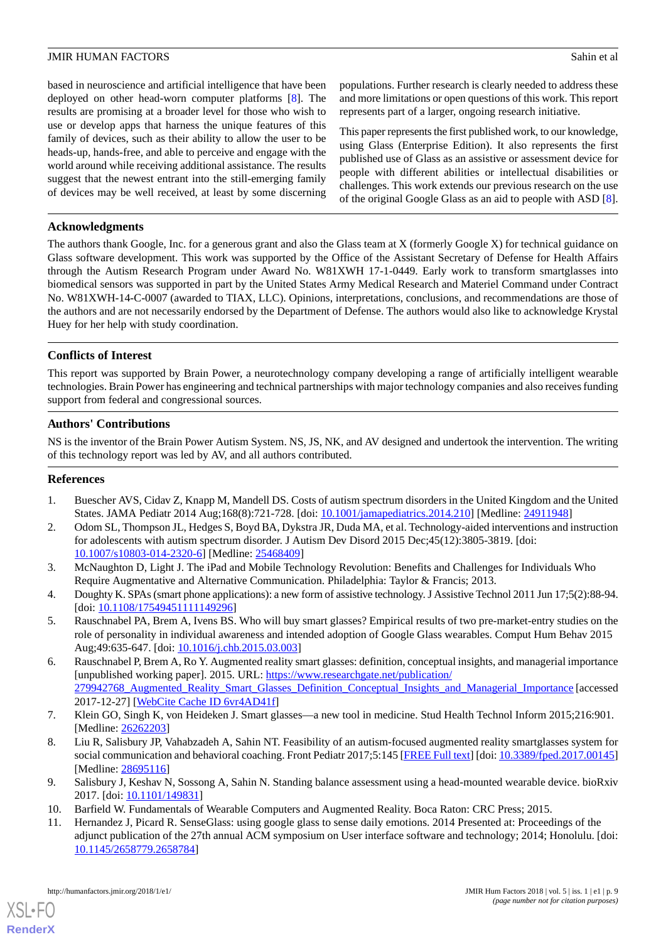based in neuroscience and artificial intelligence that have been deployed on other head-worn computer platforms [\[8\]](#page-8-6). The results are promising at a broader level for those who wish to use or develop apps that harness the unique features of this family of devices, such as their ability to allow the user to be heads-up, hands-free, and able to perceive and engage with the world around while receiving additional assistance. The results suggest that the newest entrant into the still-emerging family of devices may be well received, at least by some discerning

populations. Further research is clearly needed to address these and more limitations or open questions of this work. This report represents part of a larger, ongoing research initiative.

This paper represents the first published work, to our knowledge, using Glass (Enterprise Edition). It also represents the first published use of Glass as an assistive or assessment device for people with different abilities or intellectual disabilities or challenges. This work extends our previous research on the use of the original Google Glass as an aid to people with ASD [[8\]](#page-8-6).

## **Acknowledgments**

The authors thank Google, Inc. for a generous grant and also the Glass team at X (formerly Google X) for technical guidance on Glass software development. This work was supported by the Office of the Assistant Secretary of Defense for Health Affairs through the Autism Research Program under Award No. W81XWH 17-1-0449. Early work to transform smartglasses into biomedical sensors was supported in part by the United States Army Medical Research and Materiel Command under Contract No. W81XWH-14-C-0007 (awarded to TIAX, LLC). Opinions, interpretations, conclusions, and recommendations are those of the authors and are not necessarily endorsed by the Department of Defense. The authors would also like to acknowledge Krystal Huey for her help with study coordination.

## **Conflicts of Interest**

This report was supported by Brain Power, a neurotechnology company developing a range of artificially intelligent wearable technologies. Brain Power has engineering and technical partnerships with major technology companies and also receives funding support from federal and congressional sources.

## **Authors' Contributions**

<span id="page-8-0"></span>NS is the inventor of the Brain Power Autism System. NS, JS, NK, and AV designed and undertook the intervention. The writing of this technology report was led by AV, and all authors contributed.

#### <span id="page-8-1"></span>**References**

- <span id="page-8-2"></span>1. Buescher AVS, Cidav Z, Knapp M, Mandell DS. Costs of autism spectrum disorders in the United Kingdom and the United States. JAMA Pediatr 2014 Aug;168(8):721-728. [doi: [10.1001/jamapediatrics.2014.210\]](http://dx.doi.org/10.1001/jamapediatrics.2014.210) [Medline: [24911948](http://www.ncbi.nlm.nih.gov/entrez/query.fcgi?cmd=Retrieve&db=PubMed&list_uids=24911948&dopt=Abstract)]
- <span id="page-8-3"></span>2. Odom SL, Thompson JL, Hedges S, Boyd BA, Dykstra JR, Duda MA, et al. Technology-aided interventions and instruction for adolescents with autism spectrum disorder. J Autism Dev Disord 2015 Dec;45(12):3805-3819. [doi: [10.1007/s10803-014-2320-6\]](http://dx.doi.org/10.1007/s10803-014-2320-6) [Medline: [25468409](http://www.ncbi.nlm.nih.gov/entrez/query.fcgi?cmd=Retrieve&db=PubMed&list_uids=25468409&dopt=Abstract)]
- <span id="page-8-4"></span>3. McNaughton D, Light J. The iPad and Mobile Technology Revolution: Benefits and Challenges for Individuals Who Require Augmentative and Alternative Communication. Philadelphia: Taylor & Francis; 2013.
- 4. Doughty K. SPAs (smart phone applications): a new form of assistive technology. J Assistive Technol 2011 Jun 17;5(2):88-94. [doi: [10.1108/17549451111149296](http://dx.doi.org/10.1108/17549451111149296)]
- 5. Rauschnabel PA, Brem A, Ivens BS. Who will buy smart glasses? Empirical results of two pre-market-entry studies on the role of personality in individual awareness and intended adoption of Google Glass wearables. Comput Hum Behav 2015 Aug;49:635-647. [doi: [10.1016/j.chb.2015.03.003](http://dx.doi.org/10.1016/j.chb.2015.03.003)]
- <span id="page-8-6"></span><span id="page-8-5"></span>6. Rauschnabel P, Brem A, Ro Y. Augmented reality smart glasses: definition, conceptual insights, and managerial importance [unpublished working paper]. 2015. URL: [https://www.researchgate.net/publication/](https://www.researchgate.net/publication/279942768_Augmented_Reality_Smart_Glasses_Definition_Conceptual_Insights_and_Managerial_Importance) [279942768\\_Augmented\\_Reality\\_Smart\\_Glasses\\_Definition\\_Conceptual\\_Insights\\_and\\_Managerial\\_Importance](https://www.researchgate.net/publication/279942768_Augmented_Reality_Smart_Glasses_Definition_Conceptual_Insights_and_Managerial_Importance) [accessed 2017-12-27] [\[WebCite Cache ID 6vr4AD41f](http://www.webcitation.org/

                                6vr4AD41f)]
- <span id="page-8-8"></span><span id="page-8-7"></span>7. Klein GO, Singh K, von Heideken J. Smart glasses—a new tool in medicine. Stud Health Technol Inform 2015;216:901. [Medline: [26262203](http://www.ncbi.nlm.nih.gov/entrez/query.fcgi?cmd=Retrieve&db=PubMed&list_uids=26262203&dopt=Abstract)]
- <span id="page-8-9"></span>8. Liu R, Salisbury JP, Vahabzadeh A, Sahin NT. Feasibility of an autism-focused augmented reality smartglasses system for social communication and behavioral coaching. Front Pediatr 2017;5:145 [\[FREE Full text](https://dx.doi.org/10.3389/fped.2017.00145)] [doi: [10.3389/fped.2017.00145](http://dx.doi.org/10.3389/fped.2017.00145)] [Medline: [28695116](http://www.ncbi.nlm.nih.gov/entrez/query.fcgi?cmd=Retrieve&db=PubMed&list_uids=28695116&dopt=Abstract)]
- 9. Salisbury J, Keshav N, Sossong A, Sahin N. Standing balance assessment using a head-mounted wearable device. bioRxiv 2017. [doi: [10.1101/149831](http://dx.doi.org/10.1101/149831)]
- 10. Barfield W. Fundamentals of Wearable Computers and Augmented Reality. Boca Raton: CRC Press; 2015.
- 11. Hernandez J, Picard R. SenseGlass: using google glass to sense daily emotions. 2014 Presented at: Proceedings of the adjunct publication of the 27th annual ACM symposium on User interface software and technology; 2014; Honolulu. [doi: [10.1145/2658779.2658784](http://dx.doi.org/10.1145/2658779.2658784)]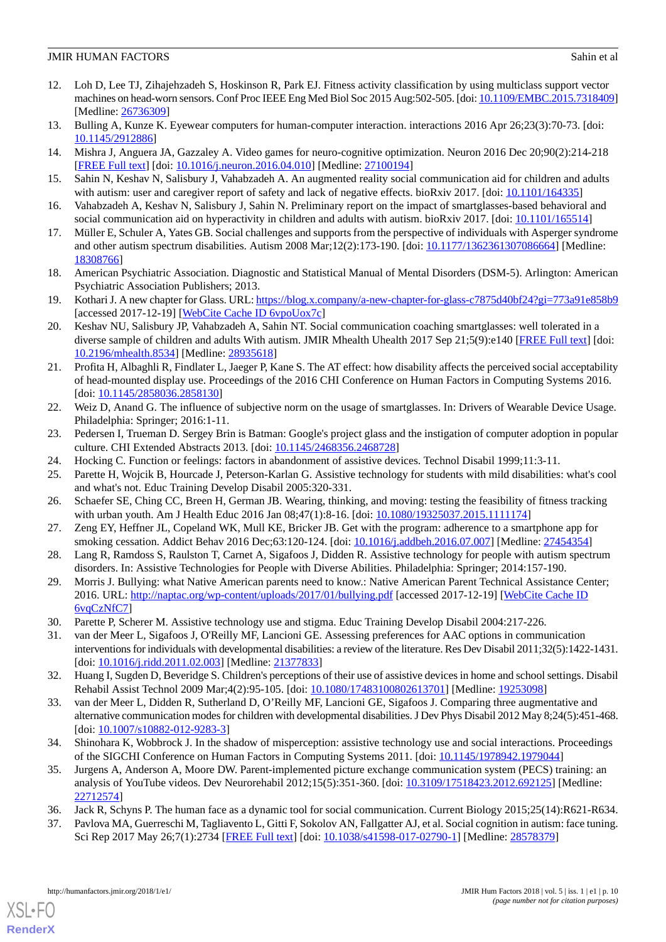- <span id="page-9-0"></span>12. Loh D, Lee TJ, Zihajehzadeh S, Hoskinson R, Park EJ. Fitness activity classification by using multiclass support vector machines on head-worn sensors. Conf Proc IEEE Eng Med Biol Soc 2015 Aug:502-505. [doi: [10.1109/EMBC.2015.7318409](http://dx.doi.org/10.1109/EMBC.2015.7318409)] [Medline: [26736309](http://www.ncbi.nlm.nih.gov/entrez/query.fcgi?cmd=Retrieve&db=PubMed&list_uids=26736309&dopt=Abstract)]
- <span id="page-9-2"></span><span id="page-9-1"></span>13. Bulling A, Kunze K. Eyewear computers for human-computer interaction. interactions 2016 Apr 26;23(3):70-73. [doi: [10.1145/2912886\]](http://dx.doi.org/10.1145/2912886)
- <span id="page-9-3"></span>14. Mishra J, Anguera JA, Gazzaley A. Video games for neuro-cognitive optimization. Neuron 2016 Dec 20;90(2):214-218 [[FREE Full text](http://linkinghub.elsevier.com/retrieve/pii/S0896-6273(16)30069-1)] [doi: [10.1016/j.neuron.2016.04.010](http://dx.doi.org/10.1016/j.neuron.2016.04.010)] [Medline: [27100194](http://www.ncbi.nlm.nih.gov/entrez/query.fcgi?cmd=Retrieve&db=PubMed&list_uids=27100194&dopt=Abstract)]
- <span id="page-9-4"></span>15. Sahin N, Keshav N, Salisbury J, Vahabzadeh A. An augmented reality social communication aid for children and adults with autism: user and caregiver report of safety and lack of negative effects. bioRxiv 2017. [doi: [10.1101/164335\]](http://dx.doi.org/10.1101/164335)
- <span id="page-9-5"></span>16. Vahabzadeh A, Keshav N, Salisbury J, Sahin N. Preliminary report on the impact of smartglasses-based behavioral and social communication aid on hyperactivity in children and adults with autism. bioRxiv 2017. [doi: [10.1101/165514](http://dx.doi.org/10.1101/165514)]
- <span id="page-9-6"></span>17. Müller E, Schuler A, Yates GB. Social challenges and supports from the perspective of individuals with Asperger syndrome and other autism spectrum disabilities. Autism 2008 Mar;12(2):173-190. [doi: [10.1177/1362361307086664](http://dx.doi.org/10.1177/1362361307086664)] [Medline: [18308766](http://www.ncbi.nlm.nih.gov/entrez/query.fcgi?cmd=Retrieve&db=PubMed&list_uids=18308766&dopt=Abstract)]
- <span id="page-9-7"></span>18. American Psychiatric Association. Diagnostic and Statistical Manual of Mental Disorders (DSM-5). Arlington: American Psychiatric Association Publishers; 2013.
- <span id="page-9-8"></span>19. Kothari J. A new chapter for Glass. URL:<https://blog.x.company/a-new-chapter-for-glass-c7875d40bf24?gi=773a91e858b9> [accessed 2017-12-19] [\[WebCite Cache ID 6vpoUox7c\]](http://www.webcitation.org/

                                6vpoUox7c)
- <span id="page-9-9"></span>20. Keshav NU, Salisbury JP, Vahabzadeh A, Sahin NT. Social communication coaching smartglasses: well tolerated in a diverse sample of children and adults With autism. JMIR Mhealth Uhealth 2017 Sep 21;5(9):e140 [\[FREE Full text\]](http://mhealth.jmir.org/2017/9/e140/) [doi: [10.2196/mhealth.8534](http://dx.doi.org/10.2196/mhealth.8534)] [Medline: [28935618](http://www.ncbi.nlm.nih.gov/entrez/query.fcgi?cmd=Retrieve&db=PubMed&list_uids=28935618&dopt=Abstract)]
- <span id="page-9-10"></span>21. Profita H, Albaghli R, Findlater L, Jaeger P, Kane S. The AT effect: how disability affects the perceived social acceptability of head-mounted display use. Proceedings of the 2016 CHI Conference on Human Factors in Computing Systems 2016. [doi: [10.1145/2858036.2858130\]](http://dx.doi.org/10.1145/2858036.2858130)
- <span id="page-9-12"></span><span id="page-9-11"></span>22. Weiz D, Anand G. The influence of subjective norm on the usage of smartglasses. In: Drivers of Wearable Device Usage. Philadelphia: Springer; 2016:1-11.
- <span id="page-9-13"></span>23. Pedersen I, Trueman D. Sergey Brin is Batman: Google's project glass and the instigation of computer adoption in popular culture. CHI Extended Abstracts 2013. [doi: [10.1145/2468356.2468728\]](http://dx.doi.org/10.1145/2468356.2468728)
- <span id="page-9-14"></span>24. Hocking C. Function or feelings: factors in abandonment of assistive devices. Technol Disabil 1999;11:3-11.
- <span id="page-9-15"></span>25. Parette H, Wojcik B, Hourcade J, Peterson-Karlan G. Assistive technology for students with mild disabilities: what's cool and what's not. Educ Training Develop Disabil 2005:320-331.
- <span id="page-9-16"></span>26. Schaefer SE, Ching CC, Breen H, German JB. Wearing, thinking, and moving: testing the feasibility of fitness tracking with urban youth. Am J Health Educ 2016 Jan 08;47(1):8-16. [doi: [10.1080/19325037.2015.1111174\]](http://dx.doi.org/10.1080/19325037.2015.1111174)
- <span id="page-9-17"></span>27. Zeng EY, Heffner JL, Copeland WK, Mull KE, Bricker JB. Get with the program: adherence to a smartphone app for smoking cessation. Addict Behav 2016 Dec;63:120-124. [doi: [10.1016/j.addbeh.2016.07.007](http://dx.doi.org/10.1016/j.addbeh.2016.07.007)] [Medline: [27454354](http://www.ncbi.nlm.nih.gov/entrez/query.fcgi?cmd=Retrieve&db=PubMed&list_uids=27454354&dopt=Abstract)]
- <span id="page-9-18"></span>28. Lang R, Ramdoss S, Raulston T, Carnet A, Sigafoos J, Didden R. Assistive technology for people with autism spectrum disorders. In: Assistive Technologies for People with Diverse Abilities. Philadelphia: Springer; 2014:157-190.
- <span id="page-9-19"></span>29. Morris J. Bullying: what Native American parents need to know.: Native American Parent Technical Assistance Center; 2016. URL: <http://naptac.org/wp-content/uploads/2017/01/bullying.pdf> [accessed 2017-12-19] [\[WebCite Cache ID](http://www.webcitation.org/

                                6vqCzNfC7) [6vqCzNfC7\]](http://www.webcitation.org/

                                6vqCzNfC7)
- <span id="page-9-20"></span>30. Parette P, Scherer M. Assistive technology use and stigma. Educ Training Develop Disabil 2004:217-226.
- <span id="page-9-21"></span>31. van der Meer L, Sigafoos J, O'Reilly MF, Lancioni GE. Assessing preferences for AAC options in communication interventions for individuals with developmental disabilities: a review of the literature. Res Dev Disabil 2011;32(5):1422-1431. [doi: [10.1016/j.ridd.2011.02.003](http://dx.doi.org/10.1016/j.ridd.2011.02.003)] [Medline: [21377833\]](http://www.ncbi.nlm.nih.gov/entrez/query.fcgi?cmd=Retrieve&db=PubMed&list_uids=21377833&dopt=Abstract)
- <span id="page-9-22"></span>32. Huang I, Sugden D, Beveridge S. Children's perceptions of their use of assistive devices in home and school settings. Disabil Rehabil Assist Technol 2009 Mar;4(2):95-105. [doi: [10.1080/17483100802613701](http://dx.doi.org/10.1080/17483100802613701)] [Medline: [19253098\]](http://www.ncbi.nlm.nih.gov/entrez/query.fcgi?cmd=Retrieve&db=PubMed&list_uids=19253098&dopt=Abstract)
- <span id="page-9-23"></span>33. van der Meer L, Didden R, Sutherland D, O'Reilly MF, Lancioni GE, Sigafoos J. Comparing three augmentative and alternative communication modes for children with developmental disabilities. J Dev Phys Disabil 2012 May 8;24(5):451-468. [doi: [10.1007/s10882-012-9283-3](http://dx.doi.org/10.1007/s10882-012-9283-3)]
- <span id="page-9-25"></span><span id="page-9-24"></span>34. Shinohara K, Wobbrock J. In the shadow of misperception: assistive technology use and social interactions. Proceedings of the SIGCHI Conference on Human Factors in Computing Systems 2011. [doi: [10.1145/1978942.1979044](http://dx.doi.org/10.1145/1978942.1979044)]
- 35. Jurgens A, Anderson A, Moore DW. Parent-implemented picture exchange communication system (PECS) training: an analysis of YouTube videos. Dev Neurorehabil 2012;15(5):351-360. [doi: [10.3109/17518423.2012.692125](http://dx.doi.org/10.3109/17518423.2012.692125)] [Medline: [22712574](http://www.ncbi.nlm.nih.gov/entrez/query.fcgi?cmd=Retrieve&db=PubMed&list_uids=22712574&dopt=Abstract)]
- 36. Jack R, Schyns P. The human face as a dynamic tool for social communication. Current Biology 2015;25(14):R621-R634.
- 37. Pavlova MA, Guerreschi M, Tagliavento L, Gitti F, Sokolov AN, Fallgatter AJ, et al. Social cognition in autism: face tuning. Sci Rep 2017 May 26;7(1):2734 [[FREE Full text](http://dx.doi.org/10.1038/s41598-017-02790-1)] [doi: [10.1038/s41598-017-02790-1\]](http://dx.doi.org/10.1038/s41598-017-02790-1) [Medline: [28578379](http://www.ncbi.nlm.nih.gov/entrez/query.fcgi?cmd=Retrieve&db=PubMed&list_uids=28578379&dopt=Abstract)]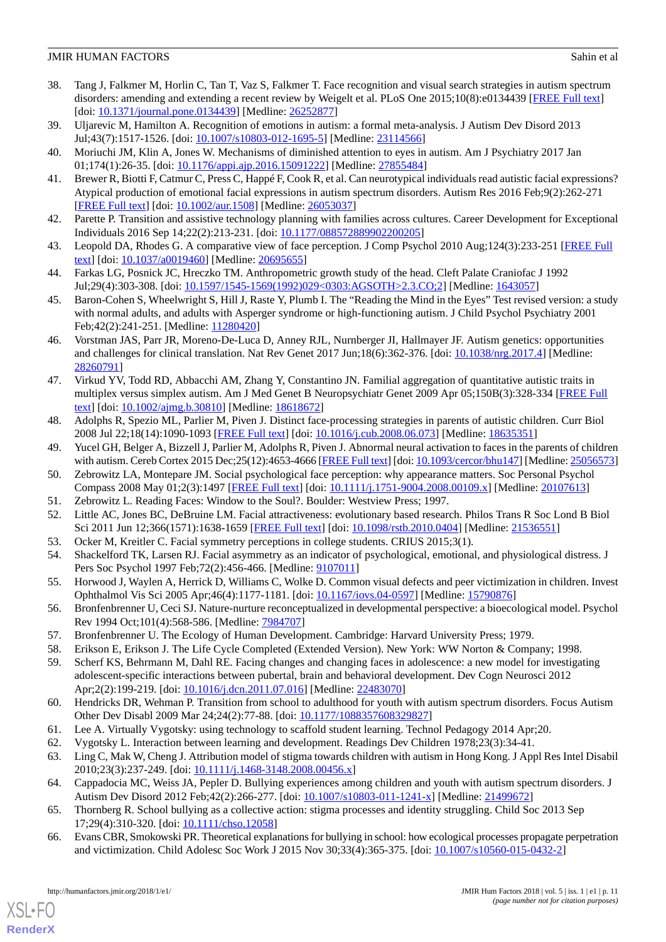- <span id="page-10-0"></span>38. Tang J, Falkmer M, Horlin C, Tan T, Vaz S, Falkmer T. Face recognition and visual search strategies in autism spectrum disorders: amending and extending a recent review by Weigelt et al. PLoS One 2015;10(8):e0134439 [\[FREE Full text\]](http://dx.plos.org/10.1371/journal.pone.0134439) [doi: [10.1371/journal.pone.0134439\]](http://dx.doi.org/10.1371/journal.pone.0134439) [Medline: [26252877\]](http://www.ncbi.nlm.nih.gov/entrez/query.fcgi?cmd=Retrieve&db=PubMed&list_uids=26252877&dopt=Abstract)
- <span id="page-10-2"></span><span id="page-10-1"></span>39. Uljarevic M, Hamilton A. Recognition of emotions in autism: a formal meta-analysis. J Autism Dev Disord 2013 Jul;43(7):1517-1526. [doi: [10.1007/s10803-012-1695-5](http://dx.doi.org/10.1007/s10803-012-1695-5)] [Medline: [23114566](http://www.ncbi.nlm.nih.gov/entrez/query.fcgi?cmd=Retrieve&db=PubMed&list_uids=23114566&dopt=Abstract)]
- <span id="page-10-3"></span>40. Moriuchi JM, Klin A, Jones W. Mechanisms of diminished attention to eyes in autism. Am J Psychiatry 2017 Jan 01;174(1):26-35. [doi: [10.1176/appi.ajp.2016.15091222\]](http://dx.doi.org/10.1176/appi.ajp.2016.15091222) [Medline: [27855484](http://www.ncbi.nlm.nih.gov/entrez/query.fcgi?cmd=Retrieve&db=PubMed&list_uids=27855484&dopt=Abstract)]
- <span id="page-10-4"></span>41. Brewer R, Biotti F, Catmur C, Press C, Happé F, Cook R, et al. Can neurotypical individuals read autistic facial expressions? Atypical production of emotional facial expressions in autism spectrum disorders. Autism Res 2016 Feb;9(2):262-271 [[FREE Full text](http://europepmc.org/abstract/MED/26053037)] [doi: [10.1002/aur.1508\]](http://dx.doi.org/10.1002/aur.1508) [Medline: [26053037](http://www.ncbi.nlm.nih.gov/entrez/query.fcgi?cmd=Retrieve&db=PubMed&list_uids=26053037&dopt=Abstract)]
- <span id="page-10-5"></span>42. Parette P. Transition and assistive technology planning with families across cultures. Career Development for Exceptional Individuals 2016 Sep 14;22(2):213-231. [doi: [10.1177/088572889902200205\]](http://dx.doi.org/10.1177/088572889902200205)
- <span id="page-10-6"></span>43. Leopold DA, Rhodes G. A comparative view of face perception. J Comp Psychol 2010 Aug;124(3):233-251 [[FREE Full](http://europepmc.org/abstract/MED/20695655) [text](http://europepmc.org/abstract/MED/20695655)] [doi: [10.1037/a0019460](http://dx.doi.org/10.1037/a0019460)] [Medline: [20695655](http://www.ncbi.nlm.nih.gov/entrez/query.fcgi?cmd=Retrieve&db=PubMed&list_uids=20695655&dopt=Abstract)]
- <span id="page-10-7"></span>44. Farkas LG, Posnick JC, Hreczko TM. Anthropometric growth study of the head. Cleft Palate Craniofac J 1992 Jul;29(4):303-308. [doi: [10.1597/1545-1569\(1992\)029<0303:AGSOTH>2.3.CO;2\]](http://dx.doi.org/10.1597/1545-1569(1992)029<0303:AGSOTH>2.3.CO;2) [Medline: [1643057\]](http://www.ncbi.nlm.nih.gov/entrez/query.fcgi?cmd=Retrieve&db=PubMed&list_uids=1643057&dopt=Abstract)
- <span id="page-10-8"></span>45. Baron-Cohen S, Wheelwright S, Hill J, Raste Y, Plumb I. The "Reading the Mind in the Eyes" Test revised version: a study with normal adults, and adults with Asperger syndrome or high-functioning autism. J Child Psychol Psychiatry 2001 Feb;42(2):241-251. [Medline: [11280420](http://www.ncbi.nlm.nih.gov/entrez/query.fcgi?cmd=Retrieve&db=PubMed&list_uids=11280420&dopt=Abstract)]
- <span id="page-10-9"></span>46. Vorstman JAS, Parr JR, Moreno-De-Luca D, Anney RJL, Nurnberger JI, Hallmayer JF. Autism genetics: opportunities and challenges for clinical translation. Nat Rev Genet 2017 Jun;18(6):362-376. [doi: [10.1038/nrg.2017.4\]](http://dx.doi.org/10.1038/nrg.2017.4) [Medline: [28260791](http://www.ncbi.nlm.nih.gov/entrez/query.fcgi?cmd=Retrieve&db=PubMed&list_uids=28260791&dopt=Abstract)]
- <span id="page-10-10"></span>47. Virkud YV, Todd RD, Abbacchi AM, Zhang Y, Constantino JN. Familial aggregation of quantitative autistic traits in multiplex versus simplex autism. Am J Med Genet B Neuropsychiatr Genet 2009 Apr 05;150B(3):328-334 [\[FREE Full](http://europepmc.org/abstract/MED/18618672) [text](http://europepmc.org/abstract/MED/18618672)] [doi: [10.1002/ajmg.b.30810](http://dx.doi.org/10.1002/ajmg.b.30810)] [Medline: [18618672](http://www.ncbi.nlm.nih.gov/entrez/query.fcgi?cmd=Retrieve&db=PubMed&list_uids=18618672&dopt=Abstract)]
- <span id="page-10-12"></span><span id="page-10-11"></span>48. Adolphs R, Spezio ML, Parlier M, Piven J. Distinct face-processing strategies in parents of autistic children. Curr Biol 2008 Jul 22;18(14):1090-1093 [[FREE Full text\]](http://linkinghub.elsevier.com/retrieve/pii/S0960-9822(08)00880-4) [doi: [10.1016/j.cub.2008.06.073](http://dx.doi.org/10.1016/j.cub.2008.06.073)] [Medline: [18635351](http://www.ncbi.nlm.nih.gov/entrez/query.fcgi?cmd=Retrieve&db=PubMed&list_uids=18635351&dopt=Abstract)]
- <span id="page-10-13"></span>49. Yucel GH, Belger A, Bizzell J, Parlier M, Adolphs R, Piven J. Abnormal neural activation to faces in the parents of children with autism. Cereb Cortex 2015 Dec;25(12):4653-4666 [\[FREE Full text](http://europepmc.org/abstract/MED/25056573)] [doi: [10.1093/cercor/bhu147\]](http://dx.doi.org/10.1093/cercor/bhu147) [Medline: [25056573\]](http://www.ncbi.nlm.nih.gov/entrez/query.fcgi?cmd=Retrieve&db=PubMed&list_uids=25056573&dopt=Abstract)
- <span id="page-10-14"></span>50. Zebrowitz LA, Montepare JM. Social psychological face perception: why appearance matters. Soc Personal Psychol Compass 2008 May 01;2(3):1497 [\[FREE Full text\]](http://europepmc.org/abstract/MED/20107613) [doi: [10.1111/j.1751-9004.2008.00109.x](http://dx.doi.org/10.1111/j.1751-9004.2008.00109.x)] [Medline: [20107613\]](http://www.ncbi.nlm.nih.gov/entrez/query.fcgi?cmd=Retrieve&db=PubMed&list_uids=20107613&dopt=Abstract)
- <span id="page-10-16"></span><span id="page-10-15"></span>51. Zebrowitz L. Reading Faces: Window to the Soul?. Boulder: Westview Press; 1997.
- <span id="page-10-17"></span>52. Little AC, Jones BC, DeBruine LM. Facial attractiveness: evolutionary based research. Philos Trans R Soc Lond B Biol Sci 2011 Jun 12;366(1571):1638-1659 [\[FREE Full text\]](http://rstb.royalsocietypublishing.org/cgi/pmidlookup?view=long&pmid=21536551) [doi: [10.1098/rstb.2010.0404\]](http://dx.doi.org/10.1098/rstb.2010.0404) [Medline: [21536551](http://www.ncbi.nlm.nih.gov/entrez/query.fcgi?cmd=Retrieve&db=PubMed&list_uids=21536551&dopt=Abstract)]
- 53. Ocker M, Kreitler C. Facial symmetry perceptions in college students. CRIUS 2015;3(1).
- <span id="page-10-18"></span>54. Shackelford TK, Larsen RJ. Facial asymmetry as an indicator of psychological, emotional, and physiological distress. J Pers Soc Psychol 1997 Feb; 72(2): 456-466. [Medline: [9107011\]](http://www.ncbi.nlm.nih.gov/entrez/query.fcgi?cmd=Retrieve&db=PubMed&list_uids=9107011&dopt=Abstract)
- <span id="page-10-20"></span><span id="page-10-19"></span>55. Horwood J, Waylen A, Herrick D, Williams C, Wolke D. Common visual defects and peer victimization in children. Invest Ophthalmol Vis Sci 2005 Apr;46(4):1177-1181. [doi: [10.1167/iovs.04-0597](http://dx.doi.org/10.1167/iovs.04-0597)] [Medline: [15790876](http://www.ncbi.nlm.nih.gov/entrez/query.fcgi?cmd=Retrieve&db=PubMed&list_uids=15790876&dopt=Abstract)]
- <span id="page-10-21"></span>56. Bronfenbrenner U, Ceci SJ. Nature-nurture reconceptualized in developmental perspective: a bioecological model. Psychol Rev 1994 Oct;101(4):568-586. [Medline: [7984707](http://www.ncbi.nlm.nih.gov/entrez/query.fcgi?cmd=Retrieve&db=PubMed&list_uids=7984707&dopt=Abstract)]
- <span id="page-10-22"></span>57. Bronfenbrenner U. The Ecology of Human Development. Cambridge: Harvard University Press; 1979.
- 58. Erikson E, Erikson J. The Life Cycle Completed (Extended Version). New York: WW Norton & Company; 1998.
- <span id="page-10-25"></span><span id="page-10-24"></span><span id="page-10-23"></span>59. Scherf KS, Behrmann M, Dahl RE. Facing changes and changing faces in adolescence: a new model for investigating adolescent-specific interactions between pubertal, brain and behavioral development. Dev Cogn Neurosci 2012 Apr;2(2):199-219. [doi: [10.1016/j.dcn.2011.07.016\]](http://dx.doi.org/10.1016/j.dcn.2011.07.016) [Medline: [22483070](http://www.ncbi.nlm.nih.gov/entrez/query.fcgi?cmd=Retrieve&db=PubMed&list_uids=22483070&dopt=Abstract)]
- <span id="page-10-26"></span>60. Hendricks DR, Wehman P. Transition from school to adulthood for youth with autism spectrum disorders. Focus Autism Other Dev Disabl 2009 Mar 24;24(2):77-88. [doi: [10.1177/1088357608329827](http://dx.doi.org/10.1177/1088357608329827)]
- <span id="page-10-27"></span>61. Lee A. Virtually Vygotsky: using technology to scaffold student learning. Technol Pedagogy 2014 Apr;20.
- 62. Vygotsky L. Interaction between learning and development. Readings Dev Children 1978;23(3):34-41.
- 63. Ling C, Mak W, Cheng J. Attribution model of stigma towards children with autism in Hong Kong. J Appl Res Intel Disabil 2010;23(3):237-249. [doi: [10.1111/j.1468-3148.2008.00456.x\]](http://dx.doi.org/10.1111/j.1468-3148.2008.00456.x)
- 64. Cappadocia MC, Weiss JA, Pepler D. Bullying experiences among children and youth with autism spectrum disorders. J Autism Dev Disord 2012 Feb;42(2):266-277. [doi: [10.1007/s10803-011-1241-x\]](http://dx.doi.org/10.1007/s10803-011-1241-x) [Medline: [21499672\]](http://www.ncbi.nlm.nih.gov/entrez/query.fcgi?cmd=Retrieve&db=PubMed&list_uids=21499672&dopt=Abstract)
- 65. Thornberg R. School bullying as a collective action: stigma processes and identity struggling. Child Soc 2013 Sep 17;29(4):310-320. [doi: [10.1111/chso.12058\]](http://dx.doi.org/10.1111/chso.12058)
- 66. Evans CBR, Smokowski PR. Theoretical explanations for bullying in school: how ecological processes propagate perpetration and victimization. Child Adolesc Soc Work J 2015 Nov 30;33(4):365-375. [doi: [10.1007/s10560-015-0432-2\]](http://dx.doi.org/10.1007/s10560-015-0432-2)